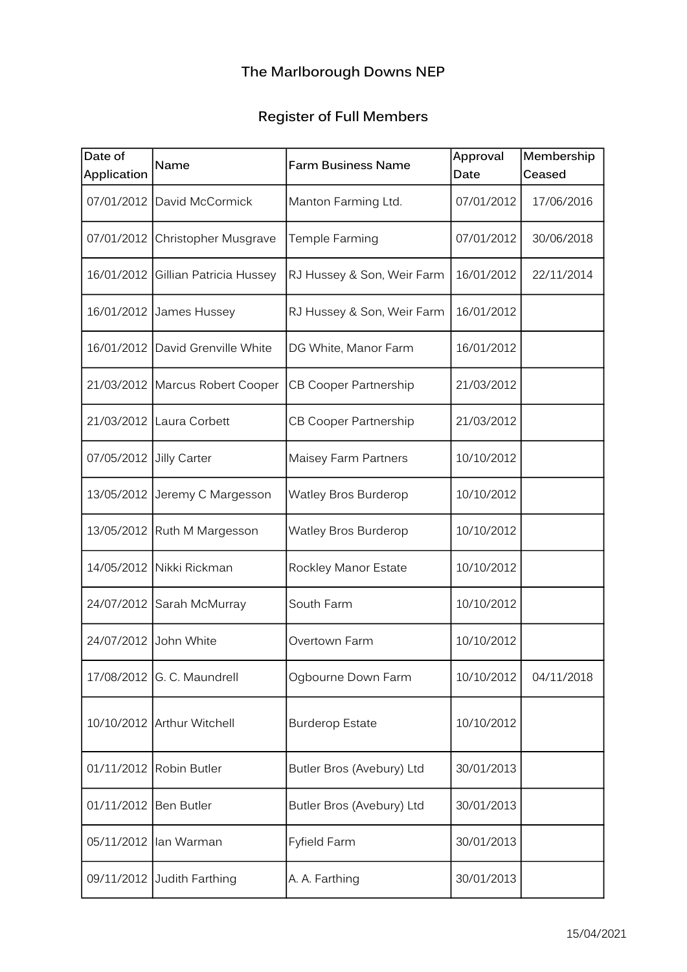## The Marlborough Downs NEP

## Register of Full Members

| Date of<br>Application | Name                               | <b>Farm Business Name</b>    | Approval<br>Date | Membership<br>Ceased |
|------------------------|------------------------------------|------------------------------|------------------|----------------------|
|                        | 07/01/2012 David McCormick         | Manton Farming Ltd.          | 07/01/2012       | 17/06/2016           |
|                        | 07/01/2012 Christopher Musgrave    | Temple Farming               | 07/01/2012       | 30/06/2018           |
|                        | 16/01/2012 Gillian Patricia Hussey | RJ Hussey & Son, Weir Farm   | 16/01/2012       | 22/11/2014           |
|                        | 16/01/2012 James Hussey            | RJ Hussey & Son, Weir Farm   | 16/01/2012       |                      |
|                        | 16/01/2012 David Grenville White   | DG White, Manor Farm         | 16/01/2012       |                      |
|                        | 21/03/2012 Marcus Robert Cooper    | <b>CB Cooper Partnership</b> | 21/03/2012       |                      |
|                        | 21/03/2012 Laura Corbett           | <b>CB Cooper Partnership</b> | 21/03/2012       |                      |
| 07/05/2012             | Jilly Carter                       | <b>Maisey Farm Partners</b>  | 10/10/2012       |                      |
|                        | 13/05/2012 Jeremy C Margesson      | <b>Watley Bros Burderop</b>  | 10/10/2012       |                      |
|                        | 13/05/2012 Ruth M Margesson        | <b>Watley Bros Burderop</b>  | 10/10/2012       |                      |
|                        | 14/05/2012 Nikki Rickman           | Rockley Manor Estate         | 10/10/2012       |                      |
|                        | 24/07/2012 Sarah McMurray          | South Farm                   | 10/10/2012       |                      |
| 24/07/2012             | John White                         | Overtown Farm                | 10/10/2012       |                      |
|                        | 17/08/2012 G. C. Maundrell         | Ogbourne Down Farm           | 10/10/2012       | 04/11/2018           |
|                        | 10/10/2012 Arthur Witchell         | <b>Burderop Estate</b>       | 10/10/2012       |                      |
|                        | 01/11/2012 Robin Butler            | Butler Bros (Avebury) Ltd    | 30/01/2013       |                      |
| 01/11/2012             | Ben Butler                         | Butler Bros (Avebury) Ltd    | 30/01/2013       |                      |
|                        | 05/11/2012 Ian Warman              | Fyfield Farm                 | 30/01/2013       |                      |
|                        | 09/11/2012 Judith Farthing         | A. A. Farthing               | 30/01/2013       |                      |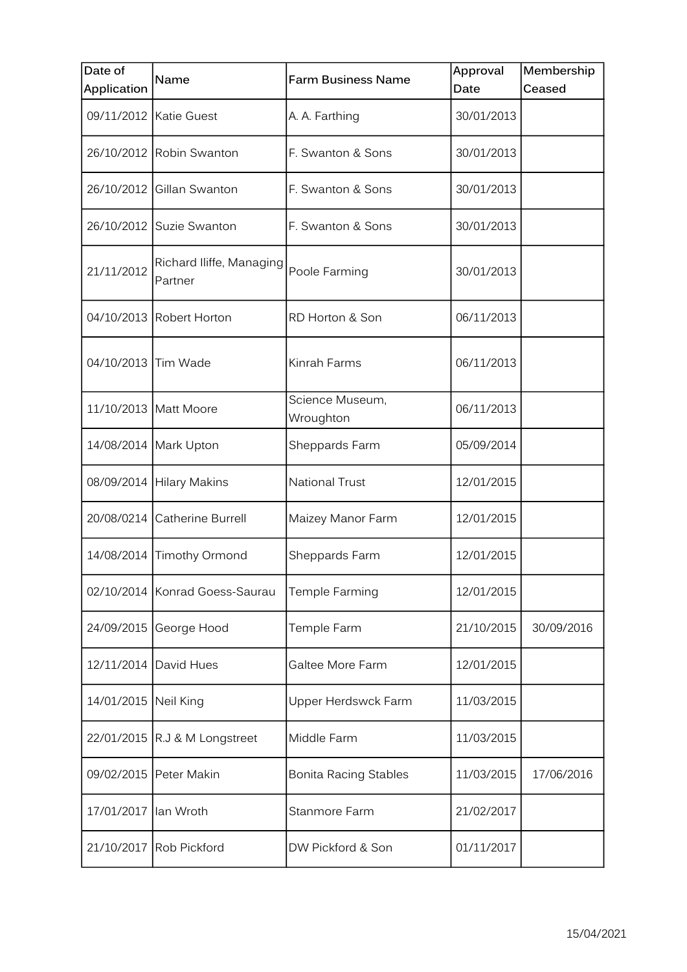| Date of<br>Application | Name                                | <b>Farm Business Name</b>    | Approval<br>Date | Membership<br>Ceased |
|------------------------|-------------------------------------|------------------------------|------------------|----------------------|
|                        | 09/11/2012 Katie Guest              | A. A. Farthing               | 30/01/2013       |                      |
|                        | 26/10/2012 Robin Swanton            | F. Swanton & Sons            | 30/01/2013       |                      |
|                        | 26/10/2012 Gillan Swanton           | F. Swanton & Sons            | 30/01/2013       |                      |
|                        | 26/10/2012 Suzie Swanton            | F. Swanton & Sons            | 30/01/2013       |                      |
| 21/11/2012             | Richard Iliffe, Managing<br>Partner | Poole Farming                | 30/01/2013       |                      |
| 04/10/2013             | Robert Horton                       | RD Horton & Son              | 06/11/2013       |                      |
| 04/10/2013 Tim Wade    |                                     | Kinrah Farms                 | 06/11/2013       |                      |
|                        | 11/10/2013 Matt Moore               | Science Museum,<br>Wroughton | 06/11/2013       |                      |
|                        | 14/08/2014   Mark Upton             | Sheppards Farm               | 05/09/2014       |                      |
|                        | 08/09/2014 Hilary Makins            | <b>National Trust</b>        | 12/01/2015       |                      |
| 20/08/0214             | Catherine Burrell                   | Maizey Manor Farm            | 12/01/2015       |                      |
| 14/08/2014             | Timothy Ormond                      | Sheppards Farm               | 12/01/2015       |                      |
|                        | 02/10/2014 Konrad Goess-Saurau      | Temple Farming               | 12/01/2015       |                      |
|                        | 24/09/2015 George Hood              | Temple Farm                  | 21/10/2015       | 30/09/2016           |
| 12/11/2014             | David Hues                          | Galtee More Farm             | 12/01/2015       |                      |
| 14/01/2015             | Neil King                           | Upper Herdswck Farm          | 11/03/2015       |                      |
|                        | 22/01/2015   R.J & M Longstreet     | Middle Farm                  | 11/03/2015       |                      |
| 09/02/2015             | Peter Makin                         | <b>Bonita Racing Stables</b> | 11/03/2015       | 17/06/2016           |
| 17/01/2017             | lan Wroth                           | Stanmore Farm                | 21/02/2017       |                      |
|                        | 21/10/2017 Rob Pickford             | DW Pickford & Son            | 01/11/2017       |                      |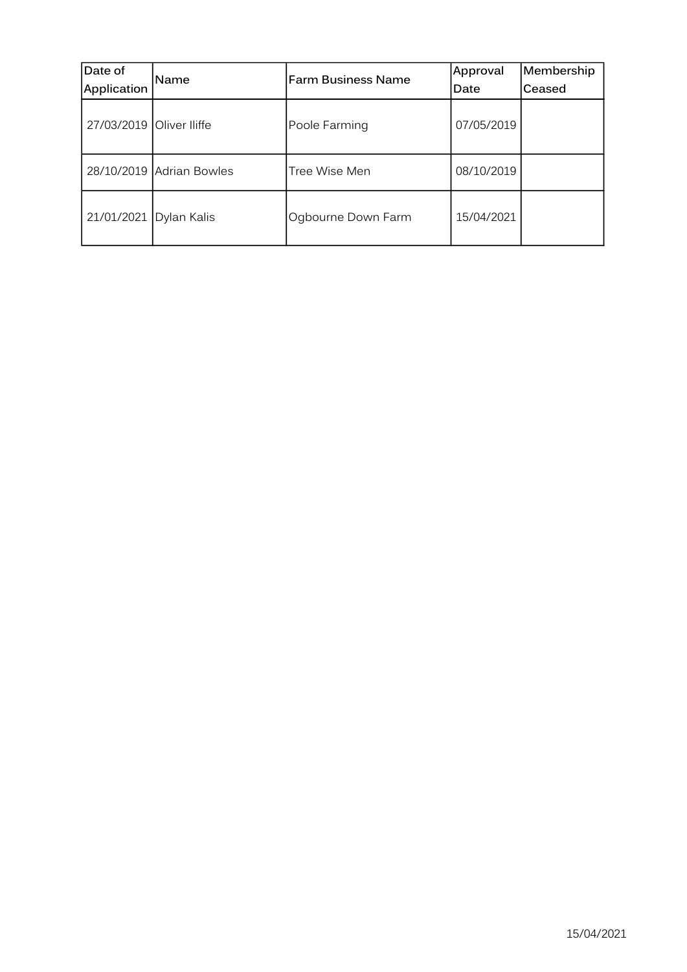| Date of                  | Name                     | <b>Farm Business Name</b> | Approval   | Membership |
|--------------------------|--------------------------|---------------------------|------------|------------|
| Application              |                          |                           | Date       | Ceased     |
| 27/03/2019 Oliver Iliffe |                          | Poole Farming             | 07/05/2019 |            |
|                          | 28/10/2019 Adrian Bowles | Tree Wise Men             | 08/10/2019 |            |
| 21/01/2021               | Dylan Kalis              | Ogbourne Down Farm        | 15/04/2021 |            |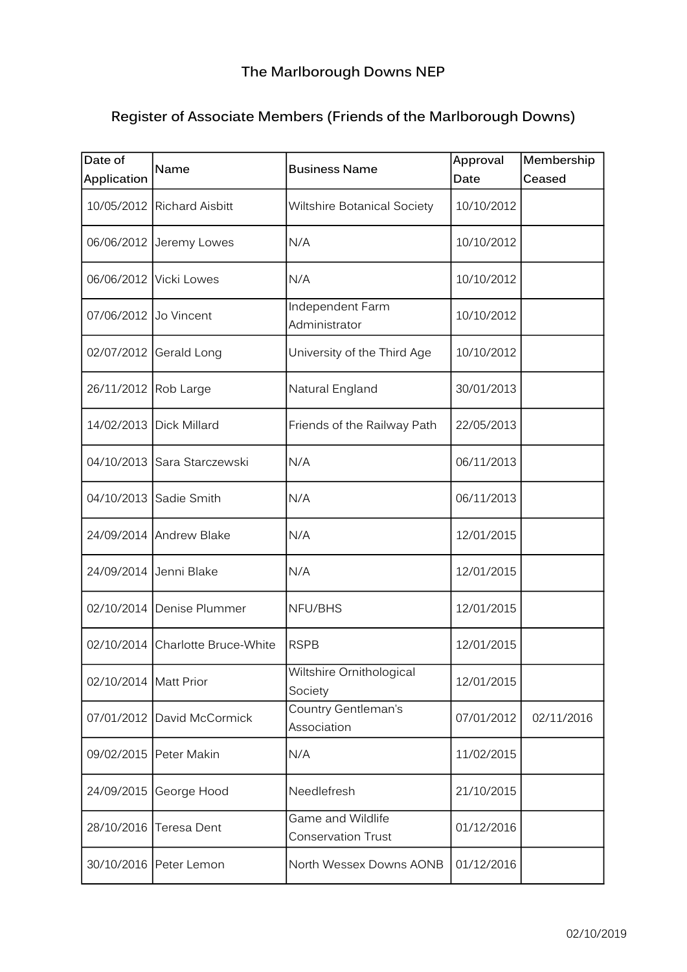|  | Register of Associate Members (Friends of the Marlborough Downs) |
|--|------------------------------------------------------------------|
|--|------------------------------------------------------------------|

| Date of<br>Application  | Name                       | <b>Business Name</b>                           | Approval<br>Date | Membership<br>Ceased |
|-------------------------|----------------------------|------------------------------------------------|------------------|----------------------|
| 10/05/2012              | <b>Richard Aisbitt</b>     | Wiltshire Botanical Society                    | 10/10/2012       |                      |
|                         |                            |                                                |                  |                      |
|                         | 06/06/2012 Jeremy Lowes    | N/A                                            | 10/10/2012       |                      |
|                         | 06/06/2012 Vicki Lowes     | N/A                                            | 10/10/2012       |                      |
| 07/06/2012              | Jo Vincent                 | Independent Farm<br>Administrator              | 10/10/2012       |                      |
| 02/07/2012              | Gerald Long                | University of the Third Age                    | 10/10/2012       |                      |
| 26/11/2012 Rob Large    |                            | Natural England                                | 30/01/2013       |                      |
| 14/02/2013              | <b>Dick Millard</b>        | Friends of the Railway Path                    | 22/05/2013       |                      |
| 04/10/2013              | Sara Starczewski           | N/A                                            | 06/11/2013       |                      |
|                         | 04/10/2013 Sadie Smith     | N/A                                            | 06/11/2013       |                      |
|                         | 24/09/2014 Andrew Blake    | N/A                                            | 12/01/2015       |                      |
| 24/09/2014              | Jenni Blake                | N/A                                            | 12/01/2015       |                      |
|                         | 02/10/2014 Denise Plummer  | NFU/BHS                                        | 12/01/2015       |                      |
| 02/10/2014              | Charlotte Bruce-White      | <b>RSPB</b>                                    | 12/01/2015       |                      |
| 02/10/2014   Matt Prior |                            | Wiltshire Ornithological<br>Society            | 12/01/2015       |                      |
|                         | 07/01/2012 David McCormick | Country Gentleman's<br>Association             | 07/01/2012       | 02/11/2016           |
|                         | 09/02/2015   Peter Makin   | N/A                                            | 11/02/2015       |                      |
| 24/09/2015              | George Hood                | Needlefresh                                    | 21/10/2015       |                      |
| 28/10/2016              | Teresa Dent                | Game and Wildlife<br><b>Conservation Trust</b> | 01/12/2016       |                      |
|                         | 30/10/2016   Peter Lemon   | North Wessex Downs AONB                        | 01/12/2016       |                      |